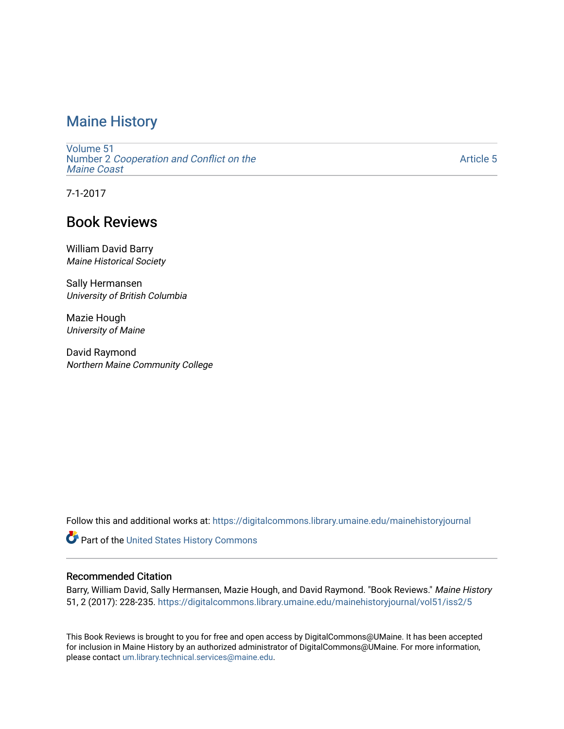## [Maine History](https://digitalcommons.library.umaine.edu/mainehistoryjournal)

[Volume 51](https://digitalcommons.library.umaine.edu/mainehistoryjournal/vol51) Number 2 [Cooperation and Conflict on the](https://digitalcommons.library.umaine.edu/mainehistoryjournal/vol51/iss2) [Maine Coast](https://digitalcommons.library.umaine.edu/mainehistoryjournal/vol51/iss2) 

[Article 5](https://digitalcommons.library.umaine.edu/mainehistoryjournal/vol51/iss2/5) 

7-1-2017

## Book Reviews

William David Barry Maine Historical Society

Sally Hermansen University of British Columbia

Mazie Hough University of Maine

David Raymond Northern Maine Community College

Follow this and additional works at: [https://digitalcommons.library.umaine.edu/mainehistoryjournal](https://digitalcommons.library.umaine.edu/mainehistoryjournal?utm_source=digitalcommons.library.umaine.edu%2Fmainehistoryjournal%2Fvol51%2Fiss2%2F5&utm_medium=PDF&utm_campaign=PDFCoverPages) 

Part of the [United States History Commons](http://network.bepress.com/hgg/discipline/495?utm_source=digitalcommons.library.umaine.edu%2Fmainehistoryjournal%2Fvol51%2Fiss2%2F5&utm_medium=PDF&utm_campaign=PDFCoverPages) 

### Recommended Citation

Barry, William David, Sally Hermansen, Mazie Hough, and David Raymond. "Book Reviews." Maine History 51, 2 (2017): 228-235. [https://digitalcommons.library.umaine.edu/mainehistoryjournal/vol51/iss2/5](https://digitalcommons.library.umaine.edu/mainehistoryjournal/vol51/iss2/5?utm_source=digitalcommons.library.umaine.edu%2Fmainehistoryjournal%2Fvol51%2Fiss2%2F5&utm_medium=PDF&utm_campaign=PDFCoverPages) 

This Book Reviews is brought to you for free and open access by DigitalCommons@UMaine. It has been accepted for inclusion in Maine History by an authorized administrator of DigitalCommons@UMaine. For more information, please contact [um.library.technical.services@maine.edu.](mailto:um.library.technical.services@maine.edu)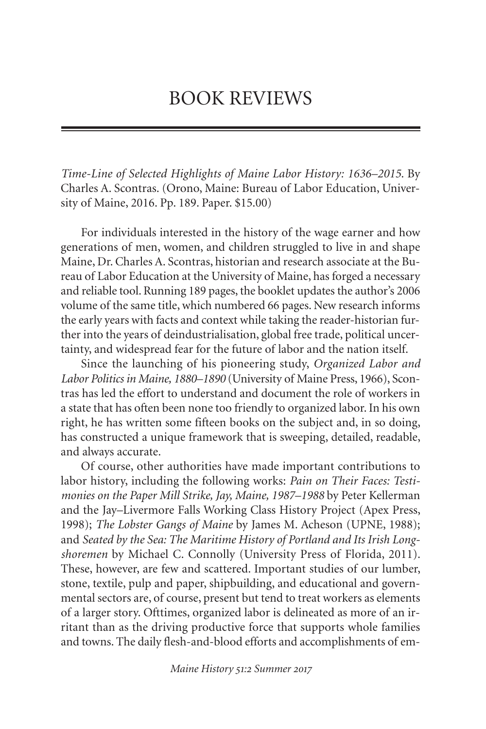# BOOK REVIEWS

*Time-Line of Selected Highlights of Maine Labor History: 1636–2015*. By Charles A. Scontras. (Orono, Maine: Bureau of Labor Education, University of Maine, 2016. Pp. 189. Paper. \$15.00)

For individuals interested in the history of the wage earner and how generations of men, women, and children struggled to live in and shape Maine, Dr. Charles A. Scontras, historian and research associate at the Bureau of Labor Education at the University of Maine, has forged a necessary and reliable tool. Running 189 pages, the booklet updates the author's 2006 volume of the same title,which numbered 66 pages. New research informs the early years with facts and context while taking the reader-historian further into the years of deindustrialisation, global free trade, political uncertainty, and widespread fear for the future of labor and the nation itself.

Since the launching of his pioneering study, *Organized Labor and Labor Politics in Maine, 1880–1890* (University of Maine Press, 1966), Scontras has led the effort to understand and document the role of workers in a state that has often been none too friendly to organized labor.In his own right, he has written some fifteen books on the subject and, in so doing, has constructed a unique framework that is sweeping, detailed, readable, and always accurate.

Of course, other authorities have made important contributions to labor history, including the following works: *Pain on Their Faces: Testimonies on the Paper Mill Strike, Jay, Maine, 1987–1988* by Peter Kellerman and the Jay–Livermore Falls Working Class History Project (Apex Press, 1998); *The Lobster Gangs of Maine* by James M. Acheson (UPNE, 1988); and *Seated by the Sea: The Maritime History of Portland and Its Irish Longshoremen* by Michael C. Connolly (University Press of Florida, 2011). These, however, are few and scattered. Important studies of our lumber, stone, textile, pulp and paper, shipbuilding, and educational and governmental sectors are, of course, present but tend to treat workers as elements of a larger story. Ofttimes, organized labor is delineated as more of an irritant than as the driving productive force that supports whole families and towns. The daily flesh-and-blood efforts and accomplishments of em-

*Maine History : Summer*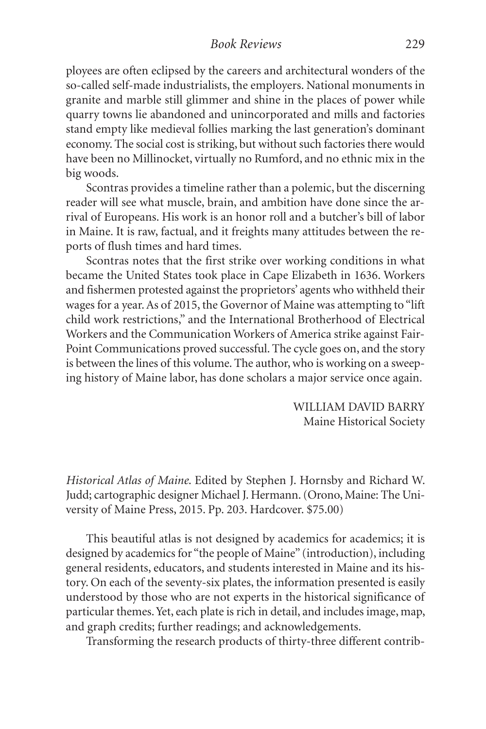ployees are often eclipsed by the careers and architectural wonders of the so-called self-made industrialists, the employers. National monuments in granite and marble still glimmer and shine in the places of power while quarry towns lie abandoned and unincorporated and mills and factories stand empty like medieval follies marking the last generation's dominant economy. The social cost is striking, but without such factories there would have been no Millinocket, virtually no Rumford, and no ethnic mix in the big woods.

Scontras provides a timeline rather than a polemic, but the discerning reader will see what muscle, brain, and ambition have done since the arrival of Europeans. His work is an honor roll and a butcher's bill of labor in Maine. It is raw, factual, and it freights many attitudes between the reports of flush times and hard times.

Scontras notes that the first strike over working conditions in what became the United States took place in Cape Elizabeth in 1636. Workers and fishermen protested against the proprietors' agents who withheld their wages for a year.As of 2015, the Governor of Maine was attempting to "lift child work restrictions," and the International Brotherhood of Electrical Workers and the Communication Workers of America strike against Fair-Point Communications proved successful. The cycle goes on, and the story is between the lines of this volume. The author, who is working on a sweeping history of Maine labor, has done scholars a major service once again.

> WILLIAM DAVID BARRY Maine Historical Society

*Historical Atlas of Maine*. Edited by Stephen J. Hornsby and Richard W. Judd; cartographic designer Michael J. Hermann.(Orono, Maine: The University of Maine Press, 2015. Pp. 203. Hardcover. \$75.00)

This beautiful atlas is not designed by academics for academics; it is designed by academics for "the people of Maine" (introduction), including general residents, educators, and students interested in Maine and its history. On each of the seventy-six plates, the information presented is easily understood by those who are not experts in the historical significance of particular themes.Yet, each plate is rich in detail, and includes image, map, and graph credits; further readings; and acknowledgements.

Transforming the research products of thirty-three different contrib-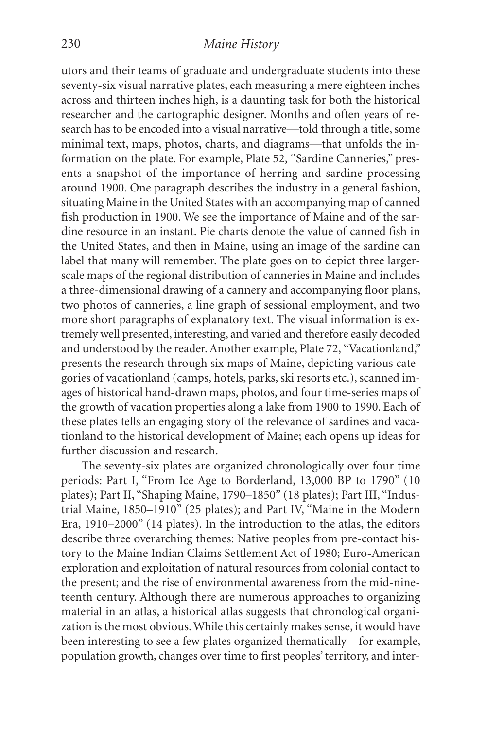### 230 *Maine History*

utors and their teams of graduate and undergraduate students into these seventy-six visual narrative plates, each measuring a mere eighteen inches across and thirteen inches high, is a daunting task for both the historical researcher and the cartographic designer. Months and often years of research has to be encoded into a visual narrative—told through a title, some minimal text, maps, photos, charts, and diagrams—that unfolds the information on the plate. For example, Plate 52, "Sardine Canneries," presents a snapshot of the importance of herring and sardine processing around 1900. One paragraph describes the industry in a general fashion, situating Maine in the United States with an accompanying map of canned fish production in 1900. We see the importance of Maine and of the sardine resource in an instant. Pie charts denote the value of canned fish in the United States, and then in Maine, using an image of the sardine can label that many will remember. The plate goes on to depict three largerscale maps of the regional distribution of canneries in Maine and includes a three-dimensional drawing of a cannery and accompanying floor plans, two photos of canneries, a line graph of sessional employment, and two more short paragraphs of explanatory text. The visual information is extremely well presented, interesting, and varied and therefore easily decoded and understood by the reader. Another example, Plate 72, "Vacationland," presents the research through six maps of Maine, depicting various categories of vacationland (camps, hotels, parks, ski resorts etc.), scanned images of historical hand-drawn maps, photos, and four time-series maps of the growth of vacation properties along a lake from 1900 to 1990. Each of these plates tells an engaging story of the relevance of sardines and vacationland to the historical development of Maine; each opens up ideas for further discussion and research.

The seventy-six plates are organized chronologically over four time periods: Part I, "From Ice Age to Borderland, 13,000 BP to 1790" (10 plates); Part II, "Shaping Maine, 1790–1850" (18 plates); Part III, "Industrial Maine, 1850–1910" (25 plates); and Part IV, "Maine in the Modern Era, 1910–2000" (14 plates). In the introduction to the atlas, the editors describe three overarching themes: Native peoples from pre-contact history to the Maine Indian Claims Settlement Act of 1980; Euro-American exploration and exploitation of natural resources from colonial contact to the present; and the rise of environmental awareness from the mid-nineteenth century. Although there are numerous approaches to organizing material in an atlas, a historical atlas suggests that chronological organization is the most obvious.While this certainly makes sense, it would have been interesting to see a few plates organized thematically—for example, population growth, changes over time to first peoples'territory, and inter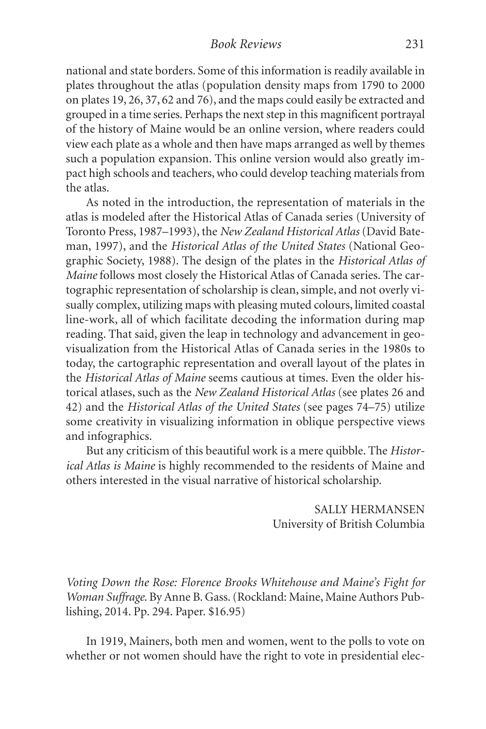national and state borders. Some of this information is readily available in plates throughout the atlas (population density maps from 1790 to 2000 on plates 19, 26, 37, 62 and 76), and the maps could easily be extracted and grouped in a time series. Perhaps the next step in this magnificent portrayal of the history of Maine would be an online version, where readers could view each plate as a whole and then have maps arranged as well by themes such a population expansion. This online version would also greatly impact high schools and teachers,who could develop teaching materials from the atlas.

As noted in the introduction, the representation of materials in the atlas is modeled after the Historical Atlas of Canada series (University of Toronto Press, 1987–1993), the *New Zealand Historical Atlas* (David Bateman, 1997), and the *Historical Atlas of the United States* (National Geographic Society, 1988). The design of the plates in the *Historical Atlas of Maine* follows most closely the Historical Atlas of Canada series. The cartographic representation of scholarship is clean,simple, and not overly visually complex, utilizing maps with pleasing muted colours, limited coastal line-work, all of which facilitate decoding the information during map reading. That said, given the leap in technology and advancement in geovisualization from the Historical Atlas of Canada series in the 1980s to today, the cartographic representation and overall layout of the plates in the *Historical Atlas of Maine* seems cautious at times. Even the older historical atlases, such as the *New Zealand Historical Atlas* (see plates 26 and 42) and the *Historical Atlas of the United States* (see pages 74–75) utilize some creativity in visualizing information in oblique perspective views and infographics.

But any criticism of this beautiful work is a mere quibble. The *Historical Atlas is Maine* is highly recommended to the residents of Maine and others interested in the visual narrative of historical scholarship.

> SALLY HERMANSEN University of British Columbia

*Voting Down the Rose: Florence Brooks Whitehouse and Maine's Fight for Woman Suffrage*. By Anne B. Gass.(Rockland: Maine, Maine Authors Publishing, 2014. Pp. 294. Paper. \$16.95)

In 1919, Mainers, both men and women, went to the polls to vote on whether or not women should have the right to vote in presidential elec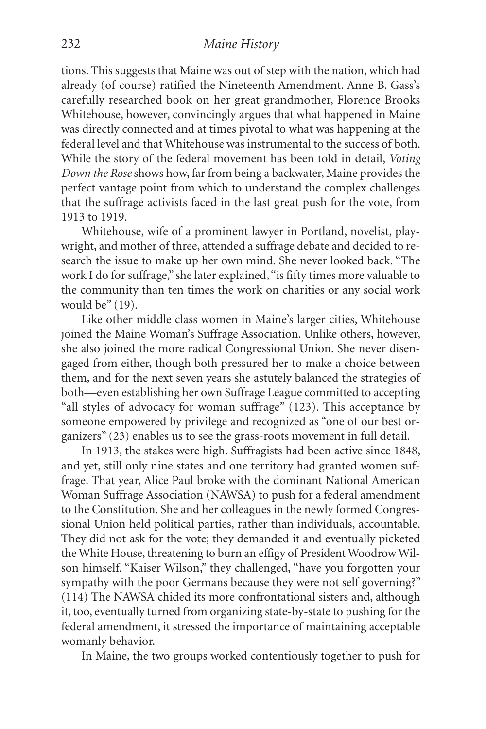tions. This suggests that Maine was out of step with the nation, which had already (of course) ratified the Nineteenth Amendment. Anne B. Gass's carefully researched book on her great grandmother, Florence Brooks Whitehouse, however, convincingly argues that what happened in Maine was directly connected and at times pivotal to what was happening at the federal level and that Whitehouse was instrumental to the success of both. While the story of the federal movement has been told in detail, *Voting Down the Rose* shows how, far from being a backwater, Maine provides the perfect vantage point from which to understand the complex challenges that the suffrage activists faced in the last great push for the vote, from 1913 to 1919.

Whitehouse, wife of a prominent lawyer in Portland, novelist, playwright, and mother of three, attended a suffrage debate and decided to research the issue to make up her own mind. She never looked back. "The work I do for suffrage," she later explained, "is fifty times more valuable to the community than ten times the work on charities or any social work would be" (19).

Like other middle class women in Maine's larger cities, Whitehouse joined the Maine Woman's Suffrage Association. Unlike others, however, she also joined the more radical Congressional Union. She never disengaged from either, though both pressured her to make a choice between them, and for the next seven years she astutely balanced the strategies of both—even establishing her own Suffrage League committed to accepting "all styles of advocacy for woman suffrage" (123). This acceptance by someone empowered by privilege and recognized as "one of our best organizers" (23) enables us to see the grass-roots movement in full detail.

In 1913, the stakes were high. Suffragists had been active since 1848, and yet, still only nine states and one territory had granted women suffrage. That year, Alice Paul broke with the dominant National American Woman Suffrage Association (NAWSA) to push for a federal amendment to the Constitution. She and her colleagues in the newly formed Congressional Union held political parties, rather than individuals, accountable. They did not ask for the vote; they demanded it and eventually picketed the White House, threatening to burn an effigy of President Woodrow Wilson himself. "Kaiser Wilson," they challenged, "have you forgotten your sympathy with the poor Germans because they were not self governing?" (114) The NAWSA chided its more confrontational sisters and, although it, too, eventually turned from organizing state-by-state to pushing for the federal amendment, it stressed the importance of maintaining acceptable womanly behavior.

In Maine, the two groups worked contentiously together to push for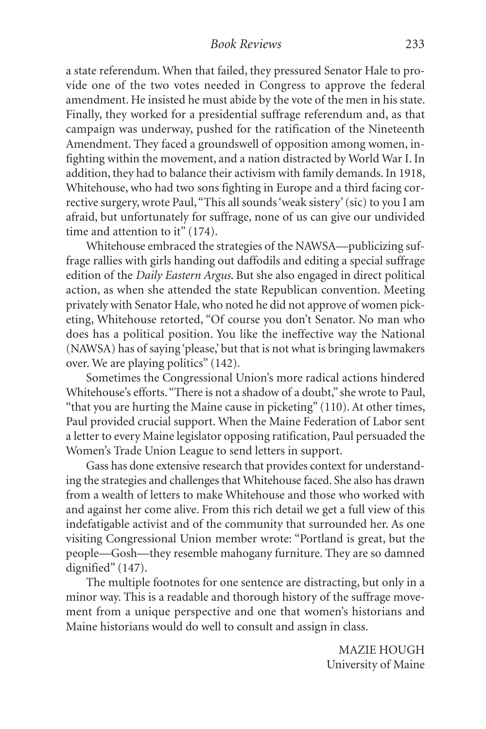a state referendum. When that failed, they pressured Senator Hale to provide one of the two votes needed in Congress to approve the federal amendment. He insisted he must abide by the vote of the men in his state. Finally, they worked for a presidential suffrage referendum and, as that campaign was underway, pushed for the ratification of the Nineteenth Amendment. They faced a groundswell of opposition among women, infighting within the movement, and a nation distracted by World War I. In addition, they had to balance their activism with family demands.In 1918, Whitehouse, who had two sons fighting in Europe and a third facing corrective surgery, wrote Paul, "This all sounds 'weak sistery' (sic) to you I am afraid, but unfortunately for suffrage, none of us can give our undivided time and attention to it" (174).

Whitehouse embraced the strategies of the NAWSA—publicizing suffrage rallies with girls handing out daffodils and editing a special suffrage edition of the *Daily Eastern Argus*. But she also engaged in direct political action, as when she attended the state Republican convention. Meeting privately with Senator Hale,who noted he did not approve of women picketing, Whitehouse retorted, "Of course you don't Senator. No man who does has a political position. You like the ineffective way the National (NAWSA) has of saying 'please,' but that is not what is bringing lawmakers over. We are playing politics" (142).

Sometimes the Congressional Union's more radical actions hindered Whitehouse's efforts."There is not a shadow of a doubt," she wrote to Paul, "that you are hurting the Maine cause in picketing" (110). At other times, Paul provided crucial support. When the Maine Federation of Labor sent a letter to every Maine legislator opposing ratification, Paul persuaded the Women's Trade Union League to send letters in support.

Gass has done extensive research that provides context for understanding the strategies and challenges that Whitehouse faced. She also has drawn from a wealth of letters to make Whitehouse and those who worked with and against her come alive. From this rich detail we get a full view of this indefatigable activist and of the community that surrounded her. As one visiting Congressional Union member wrote: "Portland is great, but the people—Gosh—they resemble mahogany furniture. They are so damned dignified" (147).

The multiple footnotes for one sentence are distracting, but only in a minor way. This is a readable and thorough history of the suffrage movement from a unique perspective and one that women's historians and Maine historians would do well to consult and assign in class.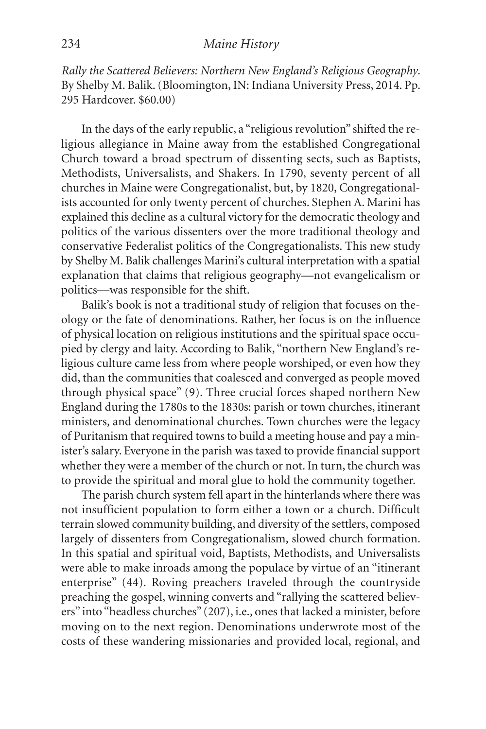#### 234 *Maine History*

*Rally the Scattered Believers: Northern New England's Religious Geography*. By Shelby M. Balik.(Bloomington, IN: Indiana University Press, 2014. Pp. 295 Hardcover. \$60.00)

In the days of the early republic, a "religious revolution" shifted the religious allegiance in Maine away from the established Congregational Church toward a broad spectrum of dissenting sects, such as Baptists, Methodists, Universalists, and Shakers. In 1790, seventy percent of all churches in Maine were Congregationalist, but, by 1820, Congregationalists accounted for only twenty percent of churches. Stephen A. Marini has explained this decline as a cultural victory for the democratic theology and politics of the various dissenters over the more traditional theology and conservative Federalist politics of the Congregationalists. This new study by Shelby M. Balik challenges Marini's cultural interpretation with a spatial explanation that claims that religious geography—not evangelicalism or politics—was responsible for the shift.

Balik's book is not a traditional study of religion that focuses on theology or the fate of denominations. Rather, her focus is on the influence of physical location on religious institutions and the spiritual space occupied by clergy and laity. According to Balik, "northern New England's religious culture came less from where people worshiped, or even how they did, than the communities that coalesced and converged as people moved through physical space" (9). Three crucial forces shaped northern New England during the 1780s to the 1830s: parish or town churches, itinerant ministers, and denominational churches. Town churches were the legacy of Puritanism that required towns to build a meeting house and pay a minister's salary. Everyone in the parish was taxed to provide financial support whether they were a member of the church or not. In turn, the church was to provide the spiritual and moral glue to hold the community together.

The parish church system fell apart in the hinterlands where there was not insufficient population to form either a town or a church. Difficult terrain slowed community building, and diversity of the settlers, composed largely of dissenters from Congregationalism, slowed church formation. In this spatial and spiritual void, Baptists, Methodists, and Universalists were able to make inroads among the populace by virtue of an "itinerant enterprise" (44). Roving preachers traveled through the countryside preaching the gospel, winning converts and "rallying the scattered believers" into "headless churches" (207), i.e., ones that lacked a minister, before moving on to the next region. Denominations underwrote most of the costs of these wandering missionaries and provided local, regional, and